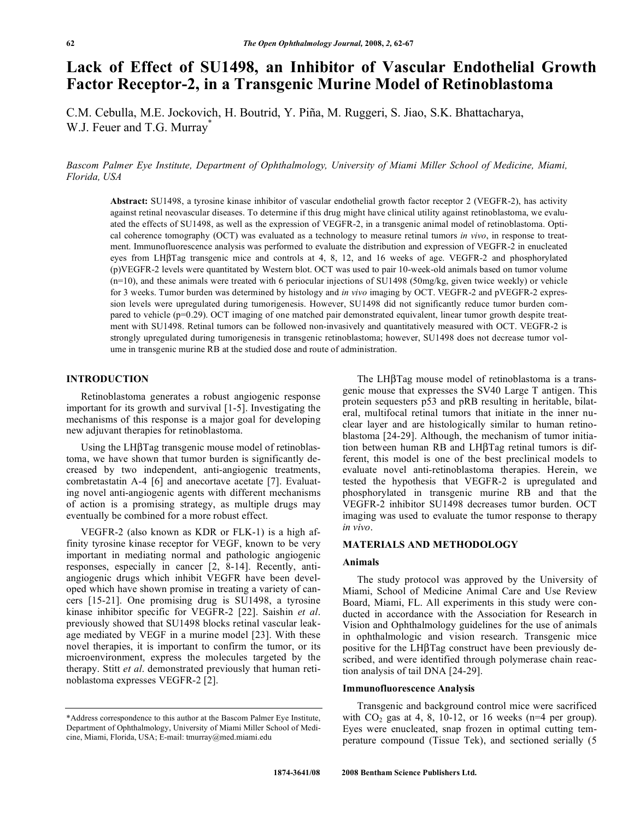# **Lack of Effect of SU1498, an Inhibitor of Vascular Endothelial Growth Factor Receptor-2, in a Transgenic Murine Model of Retinoblastoma**

C.M. Cebulla, M.E. Jockovich, H. Boutrid, Y. Piña, M. Ruggeri, S. Jiao, S.K. Bhattacharya, W.J. Feuer and T.G. Murray<sup>\*</sup>

*Bascom Palmer Eye Institute, Department of Ophthalmology, University of Miami Miller School of Medicine, Miami, Florida, USA* 

**Abstract:** SU1498, a tyrosine kinase inhibitor of vascular endothelial growth factor receptor 2 (VEGFR-2), has activity against retinal neovascular diseases. To determine if this drug might have clinical utility against retinoblastoma, we evaluated the effects of SU1498, as well as the expression of VEGFR-2, in a transgenic animal model of retinoblastoma. Optical coherence tomography (OCT) was evaluated as a technology to measure retinal tumors *in vivo*, in response to treatment. Immunofluorescence analysis was performed to evaluate the distribution and expression of VEGFR-2 in enucleated eyes from LHBTag transgenic mice and controls at 4, 8, 12, and 16 weeks of age. VEGFR-2 and phosphorylated (p)VEGFR-2 levels were quantitated by Western blot. OCT was used to pair 10-week-old animals based on tumor volume  $(n=10)$ , and these animals were treated with 6 periocular injections of SU1498 (50mg/kg, given twice weekly) or vehicle for 3 weeks. Tumor burden was determined by histology and *in vivo* imaging by OCT. VEGFR-2 and pVEGFR-2 expression levels were upregulated during tumorigenesis. However, SU1498 did not significantly reduce tumor burden compared to vehicle (p=0.29). OCT imaging of one matched pair demonstrated equivalent, linear tumor growth despite treatment with SU1498. Retinal tumors can be followed non-invasively and quantitatively measured with OCT. VEGFR-2 is strongly upregulated during tumorigenesis in transgenic retinoblastoma; however, SU1498 does not decrease tumor volume in transgenic murine RB at the studied dose and route of administration.

# **INTRODUCTION**

 Retinoblastoma generates a robust angiogenic response important for its growth and survival [1-5]. Investigating the mechanisms of this response is a major goal for developing new adjuvant therapies for retinoblastoma.

Using the  $L$ H $\beta$ Tag transgenic mouse model of retinoblastoma, we have shown that tumor burden is significantly decreased by two independent, anti-angiogenic treatments, combretastatin A-4 [6] and anecortave acetate [7]. Evaluating novel anti-angiogenic agents with different mechanisms of action is a promising strategy, as multiple drugs may eventually be combined for a more robust effect.

 VEGFR-2 (also known as KDR or FLK-1) is a high affinity tyrosine kinase receptor for VEGF, known to be very important in mediating normal and pathologic angiogenic responses, especially in cancer [2, 8-14]. Recently, antiangiogenic drugs which inhibit VEGFR have been developed which have shown promise in treating a variety of cancers [15-21]. One promising drug is SU1498, a tyrosine kinase inhibitor specific for VEGFR-2 [22]. Saishin *et al*. previously showed that SU1498 blocks retinal vascular leakage mediated by VEGF in a murine model [23]. With these novel therapies, it is important to confirm the tumor, or its microenvironment, express the molecules targeted by the therapy. Stitt *et al*. demonstrated previously that human retinoblastoma expresses VEGFR-2 [2].

The LH $\beta$ Tag mouse model of retinoblastoma is a transgenic mouse that expresses the SV40 Large T antigen. This protein sequesters p53 and pRB resulting in heritable, bilateral, multifocal retinal tumors that initiate in the inner nuclear layer and are histologically similar to human retinoblastoma [24-29]. Although, the mechanism of tumor initiation between human RB and  $L$ H $\beta$ Tag retinal tumors is different, this model is one of the best preclinical models to evaluate novel anti-retinoblastoma therapies. Herein, we tested the hypothesis that VEGFR-2 is upregulated and phosphorylated in transgenic murine RB and that the VEGFR-2 inhibitor SU1498 decreases tumor burden. OCT imaging was used to evaluate the tumor response to therapy *in vivo*.

# **MATERIALS AND METHODOLOGY**

# **Animals**

 The study protocol was approved by the University of Miami, School of Medicine Animal Care and Use Review Board, Miami, FL. All experiments in this study were conducted in accordance with the Association for Research in Vision and Ophthalmology guidelines for the use of animals in ophthalmologic and vision research. Transgenic mice positive for the LH $\beta$ Tag construct have been previously described, and were identified through polymerase chain reaction analysis of tail DNA [24-29].

#### **Immunofluorescence Analysis**

 Transgenic and background control mice were sacrificed with  $CO<sub>2</sub>$  gas at 4, 8, 10-12, or 16 weeks (n=4 per group). Eyes were enucleated, snap frozen in optimal cutting temperature compound (Tissue Tek), and sectioned serially (5

<sup>\*</sup>Address correspondence to this author at the Bascom Palmer Eye Institute, Department of Ophthalmology, University of Miami Miller School of Medicine, Miami, Florida, USA; E-mail: tmurray@med.miami.edu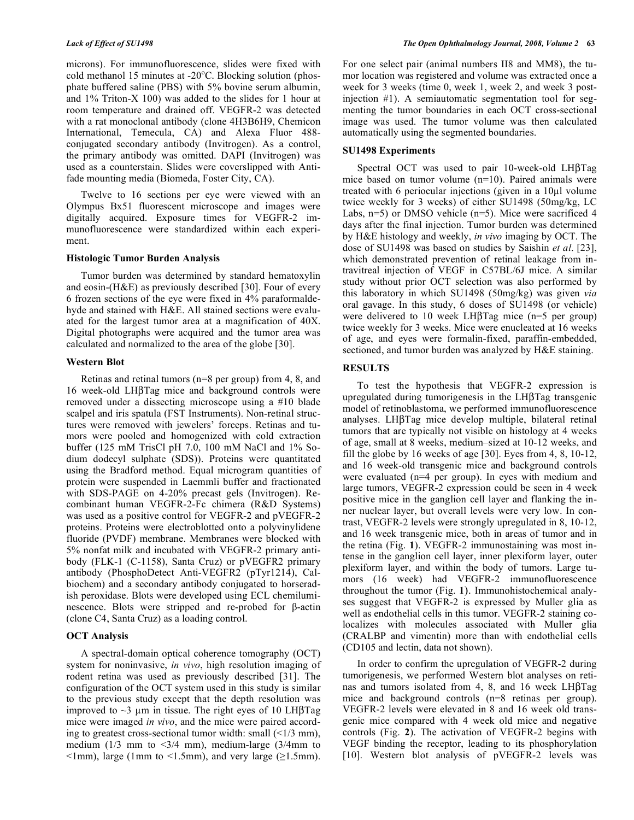microns). For immunofluorescence, slides were fixed with cold methanol 15 minutes at -20°C. Blocking solution (phosphate buffered saline (PBS) with 5% bovine serum albumin, and 1% Triton-X 100) was added to the slides for 1 hour at room temperature and drained off. VEGFR-2 was detected with a rat monoclonal antibody (clone 4H3B6H9, Chemicon International, Temecula, CA) and Alexa Fluor 488 conjugated secondary antibody (Invitrogen). As a control, the primary antibody was omitted. DAPI (Invitrogen) was used as a counterstain. Slides were coverslipped with Antifade mounting media (Biomeda, Foster City, CA).

 Twelve to 16 sections per eye were viewed with an Olympus Bx51 fluorescent microscope and images were digitally acquired. Exposure times for VEGFR-2 immunofluorescence were standardized within each experiment.

### **Histologic Tumor Burden Analysis**

 Tumor burden was determined by standard hematoxylin and eosin-(H&E) as previously described [30]. Four of every 6 frozen sections of the eye were fixed in 4% paraformaldehyde and stained with H&E. All stained sections were evaluated for the largest tumor area at a magnification of 40X. Digital photographs were acquired and the tumor area was calculated and normalized to the area of the globe [30].

#### **Western Blot**

 Retinas and retinal tumors (n=8 per group) from 4, 8, and 16 week-old LHβTag mice and background controls were removed under a dissecting microscope using a #10 blade scalpel and iris spatula (FST Instruments). Non-retinal structures were removed with jewelers' forceps. Retinas and tumors were pooled and homogenized with cold extraction buffer (125 mM TrisCl pH 7.0, 100 mM NaCl and 1% Sodium dodecyl sulphate (SDS)). Proteins were quantitated using the Bradford method. Equal microgram quantities of protein were suspended in Laemmli buffer and fractionated with SDS-PAGE on 4-20% precast gels (Invitrogen). Recombinant human VEGFR-2-Fc chimera (R&D Systems) was used as a positive control for VEGFR-2 and pVEGFR-2 proteins. Proteins were electroblotted onto a polyvinylidene fluoride (PVDF) membrane. Membranes were blocked with 5% nonfat milk and incubated with VEGFR-2 primary antibody (FLK-1 (C-1158), Santa Cruz) or pVEGFR2 primary antibody (PhosphoDetect Anti-VEGFR2 (pTyr1214), Calbiochem) and a secondary antibody conjugated to horseradish peroxidase. Blots were developed using ECL chemiluminescence. Blots were stripped and re-probed for  $\beta$ -actin (clone C4, Santa Cruz) as a loading control.

# **OCT Analysis**

 A spectral-domain optical coherence tomography (OCT) system for noninvasive, *in vivo*, high resolution imaging of rodent retina was used as previously described [31]. The configuration of the OCT system used in this study is similar to the previous study except that the depth resolution was improved to  $\sim$ 3  $\mu$ m in tissue. The right eyes of 10 LH $\beta$ Tag mice were imaged *in vivo*, and the mice were paired according to greatest cross-sectional tumor width: small  $(\leq 1/3$  mm), medium ( $1/3$  mm to  $\leq 3/4$  mm), medium-large ( $3/4$ mm to  $\leq 1$ mm), large (1mm to  $\leq 1.5$ mm), and very large ( $\geq 1.5$ mm).

For one select pair (animal numbers II8 and MM8), the tumor location was registered and volume was extracted once a week for 3 weeks (time 0, week 1, week 2, and week 3 postinjection #1). A semiautomatic segmentation tool for segmenting the tumor boundaries in each OCT cross-sectional image was used. The tumor volume was then calculated automatically using the segmented boundaries.

# **SU1498 Experiments**

Spectral OCT was used to pair 10-week-old LH $\beta$ Tag mice based on tumor volume (n=10). Paired animals were treated with 6 periocular injections (given in a 10µl volume twice weekly for 3 weeks) of either SU1498 (50mg/kg, LC Labs, n=5) or DMSO vehicle (n=5). Mice were sacrificed 4 days after the final injection. Tumor burden was determined by H&E histology and weekly, *in vivo* imaging by OCT. The dose of SU1498 was based on studies by Saishin *et al*. [23], which demonstrated prevention of retinal leakage from intravitreal injection of VEGF in C57BL/6J mice. A similar study without prior OCT selection was also performed by this laboratory in which SU1498 (50mg/kg) was given *via*  oral gavage. In this study, 6 doses of SU1498 (or vehicle) were delivered to 10 week LH $\beta$ Tag mice (n=5 per group) twice weekly for 3 weeks. Mice were enucleated at 16 weeks of age, and eyes were formalin-fixed, paraffin-embedded, sectioned, and tumor burden was analyzed by H&E staining.

#### **RESULTS**

 To test the hypothesis that VEGFR-2 expression is upregulated during tumorigenesis in the  $L$ H $\beta$ Tag transgenic model of retinoblastoma, we performed immunofluorescence analyses. LH $\beta$ Tag mice develop multiple, bilateral retinal tumors that are typically not visible on histology at 4 weeks of age, small at 8 weeks, medium–sized at 10-12 weeks, and fill the globe by 16 weeks of age [30]. Eyes from 4, 8, 10-12, and 16 week-old transgenic mice and background controls were evaluated (n=4 per group). In eyes with medium and large tumors, VEGFR-2 expression could be seen in 4 week positive mice in the ganglion cell layer and flanking the inner nuclear layer, but overall levels were very low. In contrast, VEGFR-2 levels were strongly upregulated in 8, 10-12, and 16 week transgenic mice, both in areas of tumor and in the retina (Fig. **1**). VEGFR-2 immunostaining was most intense in the ganglion cell layer, inner plexiform layer, outer plexiform layer, and within the body of tumors. Large tumors (16 week) had VEGFR-2 immunofluorescence throughout the tumor (Fig. **1**). Immunohistochemical analyses suggest that VEGFR-2 is expressed by Muller glia as well as endothelial cells in this tumor. VEGFR-2 staining colocalizes with molecules associated with Muller glia (CRALBP and vimentin) more than with endothelial cells (CD105 and lectin, data not shown).

 In order to confirm the upregulation of VEGFR-2 during tumorigenesis, we performed Western blot analyses on retinas and tumors isolated from 4, 8, and 16 week  $L H \beta T \text{ag}$ mice and background controls (n=8 retinas per group). VEGFR-2 levels were elevated in 8 and 16 week old transgenic mice compared with 4 week old mice and negative controls (Fig. **2**). The activation of VEGFR-2 begins with VEGF binding the receptor, leading to its phosphorylation [10]. Western blot analysis of pVEGFR-2 levels was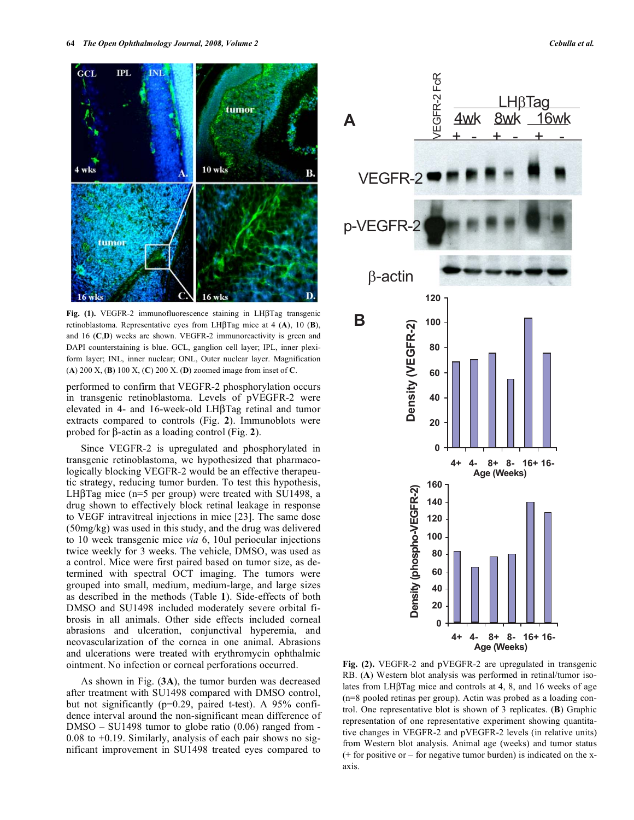

Fig. (1). VEGFR-2 immunofluorescence staining in LH $\beta$ Tag transgenic retinoblastoma. Representative eyes from LH $\beta$ Tag mice at 4 (A), 10 (B), and 16 (**C**,**D**) weeks are shown. VEGFR-2 immunoreactivity is green and DAPI counterstaining is blue. GCL, ganglion cell layer; IPL, inner plexiform layer; INL, inner nuclear; ONL, Outer nuclear layer. Magnification (**A**) 200 X, (**B**) 100 X, (**C**) 200 X. (**D**) zoomed image from inset of **C**.

performed to confirm that VEGFR-2 phosphorylation occurs in transgenic retinoblastoma. Levels of pVEGFR-2 were elevated in 4- and 16-week-old  $L$ H $\beta$ Tag retinal and tumor extracts compared to controls (Fig. **2**). Immunoblots were probed for  $\beta$ -actin as a loading control (Fig. 2).

 Since VEGFR-2 is upregulated and phosphorylated in transgenic retinoblastoma, we hypothesized that pharmacologically blocking VEGFR-2 would be an effective therapeutic strategy, reducing tumor burden. To test this hypothesis, LH $\beta$ Tag mice (n=5 per group) were treated with SU1498, a drug shown to effectively block retinal leakage in response to VEGF intravitreal injections in mice [23]. The same dose (50mg/kg) was used in this study, and the drug was delivered to 10 week transgenic mice *via* 6, 10ul periocular injections twice weekly for 3 weeks. The vehicle, DMSO, was used as a control. Mice were first paired based on tumor size, as determined with spectral OCT imaging. The tumors were grouped into small, medium, medium-large, and large sizes as described in the methods (Table **1**). Side-effects of both DMSO and SU1498 included moderately severe orbital fibrosis in all animals. Other side effects included corneal abrasions and ulceration, conjunctival hyperemia, and neovascularization of the cornea in one animal. Abrasions and ulcerations were treated with erythromycin ophthalmic ointment. No infection or corneal perforations occurred.

 As shown in Fig. (**3A**), the tumor burden was decreased after treatment with SU1498 compared with DMSO control, but not significantly (p=0.29, paired t-test). A 95% confidence interval around the non-significant mean difference of DMSO – SU1498 tumor to globe ratio (0.06) ranged from - 0.08 to +0.19. Similarly, analysis of each pair shows no significant improvement in SU1498 treated eyes compared to



**Fig. (2).** VEGFR-2 and pVEGFR-2 are upregulated in transgenic RB. (**A**) Western blot analysis was performed in retinal/tumor isolates from LH $\beta$ Tag mice and controls at 4, 8, and 16 weeks of age (n=8 pooled retinas per group). Actin was probed as a loading control. One representative blot is shown of 3 replicates. (**B**) Graphic representation of one representative experiment showing quantitative changes in VEGFR-2 and pVEGFR-2 levels (in relative units) from Western blot analysis. Animal age (weeks) and tumor status (+ for positive or – for negative tumor burden) is indicated on the xaxis.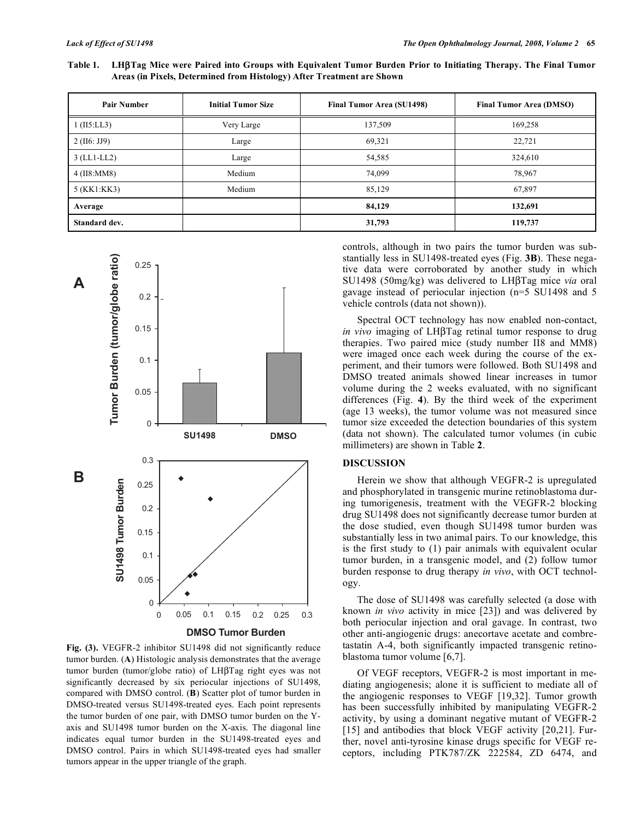| Table 1. LHBTag Mice were Paired into Groups with Equivalent Tumor Burden Prior to Initiating Therapy. The Final Tumor |  |  |  |
|------------------------------------------------------------------------------------------------------------------------|--|--|--|
| Areas (in Pixels, Determined from Histology) After Treatment are Shown                                                 |  |  |  |

| <b>Pair Number</b> | <b>Initial Tumor Size</b> | <b>Final Tumor Area (SU1498)</b> | <b>Final Tumor Area (DMSO)</b> |
|--------------------|---------------------------|----------------------------------|--------------------------------|
| $1$ (II5:LL3)      | Very Large                | 137,509                          | 169,258                        |
| $2$ (II6: JJ9)     | Large                     | 69,321                           | 22,721                         |
| $3$ (LL1-LL2)      | Large                     | 54,585                           | 324,610                        |
| $4$ (II8:MM8)      | Medium                    | 74,099                           | 78,967                         |
| 5 (KK1:KK3)        | Medium                    | 85,129                           | 67,897                         |
| Average            |                           | 84,129                           | 132,691                        |
| Standard dev.      |                           | 31,793                           | 119,737                        |



**Fig. (3).** VEGFR-2 inhibitor SU1498 did not significantly reduce tumor burden. (**A**) Histologic analysis demonstrates that the average tumor burden (tumor/globe ratio) of LHßTag right eyes was not significantly decreased by six periocular injections of SU1498, compared with DMSO control. (**B**) Scatter plot of tumor burden in DMSO-treated versus SU1498-treated eyes. Each point represents the tumor burden of one pair, with DMSO tumor burden on the Yaxis and SU1498 tumor burden on the X-axis. The diagonal line indicates equal tumor burden in the SU1498-treated eyes and DMSO control. Pairs in which SU1498-treated eyes had smaller tumors appear in the upper triangle of the graph.

controls, although in two pairs the tumor burden was substantially less in SU1498-treated eyes (Fig. **3B**). These negative data were corroborated by another study in which SU1498 (50mg/kg) was delivered to LHTag mice *via* oral gavage instead of periocular injection (n=5 SU1498 and 5 vehicle controls (data not shown)).

 Spectral OCT technology has now enabled non-contact, *in vivo* imaging of LH $\beta$ Tag retinal tumor response to drug therapies. Two paired mice (study number II8 and MM8) were imaged once each week during the course of the experiment, and their tumors were followed. Both SU1498 and DMSO treated animals showed linear increases in tumor volume during the 2 weeks evaluated, with no significant differences (Fig. **4**). By the third week of the experiment (age 13 weeks), the tumor volume was not measured since tumor size exceeded the detection boundaries of this system (data not shown). The calculated tumor volumes (in cubic millimeters) are shown in Table **2**.

# **DISCUSSION**

 Herein we show that although VEGFR-2 is upregulated and phosphorylated in transgenic murine retinoblastoma during tumorigenesis, treatment with the VEGFR-2 blocking drug SU1498 does not significantly decrease tumor burden at the dose studied, even though SU1498 tumor burden was substantially less in two animal pairs. To our knowledge, this is the first study to (1) pair animals with equivalent ocular tumor burden, in a transgenic model, and (2) follow tumor burden response to drug therapy *in vivo*, with OCT technology.

 The dose of SU1498 was carefully selected (a dose with known *in vivo* activity in mice [23]) and was delivered by both periocular injection and oral gavage. In contrast, two other anti-angiogenic drugs: anecortave acetate and combretastatin A-4, both significantly impacted transgenic retinoblastoma tumor volume [6,7].

 Of VEGF receptors, VEGFR-2 is most important in mediating angiogenesis; alone it is sufficient to mediate all of the angiogenic responses to VEGF [19,32]. Tumor growth has been successfully inhibited by manipulating VEGFR-2 activity, by using a dominant negative mutant of VEGFR-2 [15] and antibodies that block VEGF activity [20,21]. Further, novel anti-tyrosine kinase drugs specific for VEGF receptors, including PTK787/ZK 222584, ZD 6474, and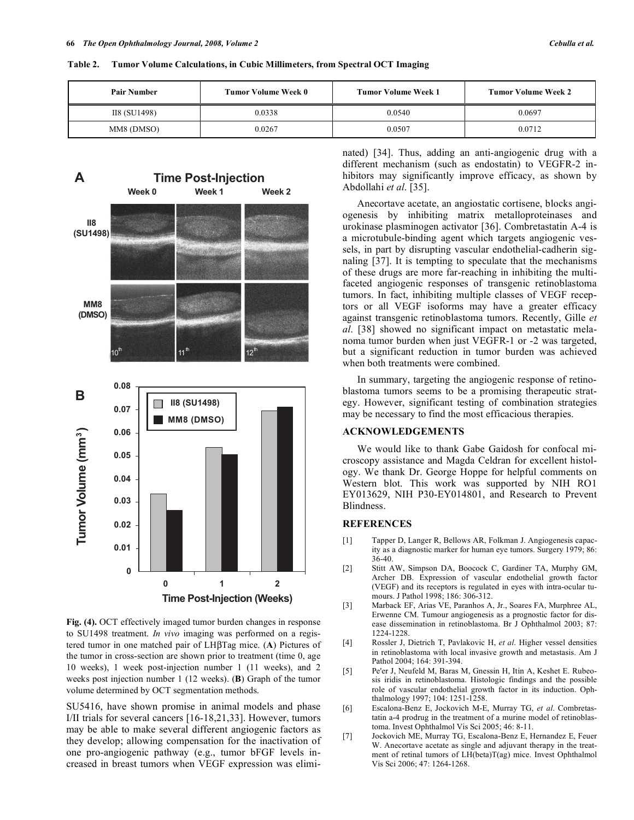**Table 2. Tumor Volume Calculations, in Cubic Millimeters, from Spectral OCT Imaging** 

| <b>Pair Number</b> | Tumor Volume Week 0 | <b>Tumor Volume Week 1</b> | <b>Tumor Volume Week 2</b> |
|--------------------|---------------------|----------------------------|----------------------------|
| II8 (SU1498)       | 0.0338              | 0.0540                     | 0.0697                     |
| MM8 (DMSO)         | 0.0267              | 0.0507                     | 0.0712                     |



**Fig. (4).** OCT effectively imaged tumor burden changes in response to SU1498 treatment. *In vivo* imaging was performed on a registered tumor in one matched pair of LHTag mice. (**A**) Pictures of the tumor in cross-section are shown prior to treatment (time 0, age 10 weeks), 1 week post-injection number 1 (11 weeks), and 2 weeks post injection number 1 (12 weeks). (**B**) Graph of the tumor volume determined by OCT segmentation methods.

SU5416, have shown promise in animal models and phase I/II trials for several cancers [16-18,21,33]. However, tumors may be able to make several different angiogenic factors as they develop; allowing compensation for the inactivation of one pro-angiogenic pathway (e.g., tumor bFGF levels increased in breast tumors when VEGF expression was eliminated) [34]. Thus, adding an anti-angiogenic drug with a different mechanism (such as endostatin) to VEGFR-2 inhibitors may significantly improve efficacy, as shown by Abdollahi *et al*. [35].

 Anecortave acetate, an angiostatic cortisene, blocks angiogenesis by inhibiting matrix metalloproteinases and urokinase plasminogen activator [36]. Combretastatin A-4 is a microtubule-binding agent which targets angiogenic vessels, in part by disrupting vascular endothelial-cadherin signaling [37]. It is tempting to speculate that the mechanisms of these drugs are more far-reaching in inhibiting the multifaceted angiogenic responses of transgenic retinoblastoma tumors. In fact, inhibiting multiple classes of VEGF receptors or all VEGF isoforms may have a greater efficacy against transgenic retinoblastoma tumors. Recently, Gille *et al*. [38] showed no significant impact on metastatic melanoma tumor burden when just VEGFR-1 or -2 was targeted, but a significant reduction in tumor burden was achieved when both treatments were combined.

 In summary, targeting the angiogenic response of retinoblastoma tumors seems to be a promising therapeutic strategy. However, significant testing of combination strategies may be necessary to find the most efficacious therapies.

# **ACKNOWLEDGEMENTS**

 We would like to thank Gabe Gaidosh for confocal microscopy assistance and Magda Celdran for excellent histology. We thank Dr. George Hoppe for helpful comments on Western blot. This work was supported by NIH RO1 EY013629, NIH P30-EY014801, and Research to Prevent Blindness.

#### **REFERENCES**

- [1] Tapper D, Langer R, Bellows AR, Folkman J. Angiogenesis capacity as a diagnostic marker for human eye tumors. Surgery 1979; 86: 36-40.
- [2] Stitt AW, Simpson DA, Boocock C, Gardiner TA, Murphy GM, Archer DB. Expression of vascular endothelial growth factor (VEGF) and its receptors is regulated in eyes with intra-ocular tumours. J Pathol 1998; 186: 306-312.
- [3] Marback EF, Arias VE, Paranhos A, Jr., Soares FA, Murphree AL, Erwenne CM. Tumour angiogenesis as a prognostic factor for disease dissemination in retinoblastoma. Br J Ophthalmol 2003; 87: 1224-1228.
- [4] Rossler J, Dietrich T, Pavlakovic H, *et al*. Higher vessel densities in retinoblastoma with local invasive growth and metastasis. Am J Pathol 2004; 164: 391-394.
- [5] Pe'er J, Neufeld M, Baras M, Gnessin H, Itin A, Keshet E. Rubeosis iridis in retinoblastoma. Histologic findings and the possible role of vascular endothelial growth factor in its induction. Ophthalmology 1997; 104: 1251-1258.
- [6] Escalona-Benz E, Jockovich M-E, Murray TG, *et al*. Combretastatin a-4 prodrug in the treatment of a murine model of retinoblastoma. Invest Ophthalmol Vis Sci 2005; 46: 8-11.
- [7] Jockovich ME, Murray TG, Escalona-Benz E, Hernandez E, Feuer W. Anecortave acetate as single and adjuvant therapy in the treatment of retinal tumors of LH(beta)T(ag) mice. Invest Ophthalmol Vis Sci 2006; 47: 1264-1268.